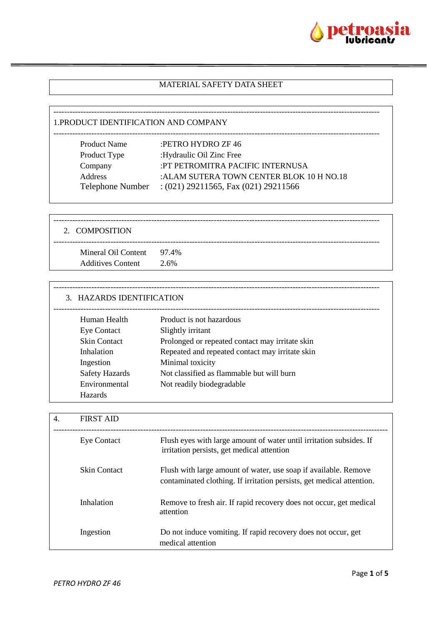

### MATERIAL SAFETY DATA SHEET

------------------------------------------------------------------------------------------------------------------------

#### 1.PRODUCT IDENTIFICATION AND COMPANY

| <b>Product Name</b>     | :PETRO HYDRO ZF 46                        |
|-------------------------|-------------------------------------------|
| Product Type            | :Hydraulic Oil Zinc Free                  |
| Company                 | :PT PETROMITRA PACIFIC INTERNUSA          |
| <b>Address</b>          | : ALAM SUTERA TOWN CENTER BLOK 10 H NO.18 |
| <b>Telephone Number</b> | $:(021)$ 29211565, Fax $(021)$ 29211566   |
|                         |                                           |

------------------------------------------------------------------------------------------------------------------------ 2. COMPOSITION ------------------------------------------------------------------------------------------------------------------------ Mineral Oil Content 97.4% Additives Content 2.6%

| 3. HAZARDS IDENTIFICATION |                                                 |  |
|---------------------------|-------------------------------------------------|--|
| Human Health              | Product is not hazardous                        |  |
| <b>Eye Contact</b>        | Slightly irritant                               |  |
| <b>Skin Contact</b>       | Prolonged or repeated contact may irritate skin |  |
| Inhalation                | Repeated and repeated contact may irritate skin |  |
| Ingestion                 | Minimal toxicity                                |  |
| <b>Safety Hazards</b>     | Not classified as flammable but will burn       |  |
| Environmental             | Not readily biodegradable                       |  |
| Hazards                   |                                                 |  |

| 4. | <b>FIRST AID</b>    |                                                                                                                                          |
|----|---------------------|------------------------------------------------------------------------------------------------------------------------------------------|
|    | <b>Eye Contact</b>  | Flush eyes with large amount of water until irritation subsides. If<br>irritation persists, get medical attention                        |
|    | <b>Skin Contact</b> | Flush with large amount of water, use soap if available. Remove<br>contaminated clothing. If irritation persists, get medical attention. |
|    | Inhalation          | Remove to fresh air. If rapid recovery does not occur, get medical<br>attention                                                          |
|    | Ingestion           | Do not induce vomiting. If rapid recovery does not occur, get<br>medical attention                                                       |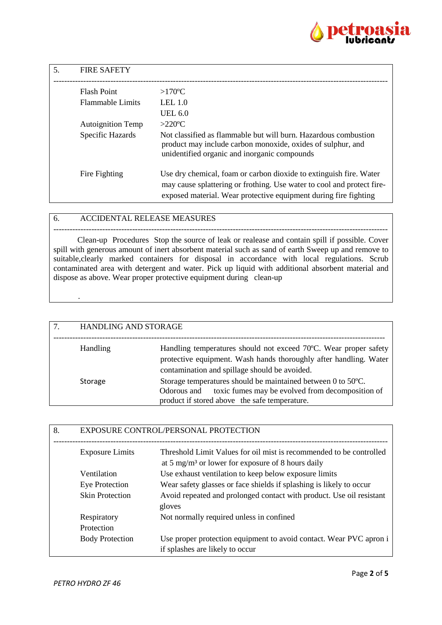

| 5. | <b>FIRE SAFETY</b>       |                                                                                                                                                                                                                  |
|----|--------------------------|------------------------------------------------------------------------------------------------------------------------------------------------------------------------------------------------------------------|
|    | <b>Flash Point</b>       | $>170^{\circ}$ C                                                                                                                                                                                                 |
|    | <b>Flammable Limits</b>  | LEL $1.0$                                                                                                                                                                                                        |
|    |                          | <b>UEL 6.0</b>                                                                                                                                                                                                   |
|    | <b>Autoignition Temp</b> | $>220$ °C                                                                                                                                                                                                        |
|    | Specific Hazards         | Not classified as flammable but will burn. Hazardous combustion<br>product may include carbon monoxide, oxides of sulphur, and<br>unidentified organic and inorganic compounds                                   |
|    | Fire Fighting            | Use dry chemical, foam or carbon dioxide to extinguish fire. Water<br>may cause splattering or frothing. Use water to cool and protect fire-<br>exposed material. Wear protective equipment during fire fighting |

## 6. ACCIDENTAL RELEASE MEASURES

--------------------------------------------------------------------------------------------------------------------------- Clean-up Procedures Stop the source of leak or realease and contain spill if possible. Cover spill with generous amount of inert absorbent material such as sand of earth Sweep up and remove to suitable,clearly marked containers for disposal in accordance with local regulations. Scrub contaminated area with detergent and water. Pick up liquid with additional absorbent material and dispose as above. Wear proper protective equipment during clean-up

| 7. | HANDLING AND STORAGE |                                                                                                                                                                                        |
|----|----------------------|----------------------------------------------------------------------------------------------------------------------------------------------------------------------------------------|
|    | <b>Handling</b>      | Handling temperatures should not exceed 70°C. Wear proper safety<br>protective equipment. Wash hands thoroughly after handling. Water<br>contamination and spillage should be avoided. |
|    | <b>Storage</b>       | Storage temperatures should be maintained between 0 to 50°C.<br>toxic fumes may be evolved from decomposition of<br>Odorous and<br>product if stored above the safe temperature.       |

| 8. | EXPOSURE CONTROL/PERSONAL PROTECTION |                                                                                                                                      |
|----|--------------------------------------|--------------------------------------------------------------------------------------------------------------------------------------|
|    | <b>Exposure Limits</b>               | Threshold Limit Values for oil mist is recommended to be controlled<br>at 5 mg/m <sup>3</sup> or lower for exposure of 8 hours daily |
|    | Ventilation                          | Use exhaust ventilation to keep below exposure limits                                                                                |
|    | Eye Protection                       | Wear safety glasses or face shields if splashing is likely to occur                                                                  |
|    | <b>Skin Protection</b>               | Avoid repeated and prolonged contact with product. Use oil resistant<br>gloves                                                       |
|    | Respiratory                          | Not normally required unless in confined                                                                                             |
|    | Protection                           |                                                                                                                                      |
|    | <b>Body Protection</b>               | Use proper protection equipment to avoid contact. Wear PVC apron i<br>if splashes are likely to occur                                |

.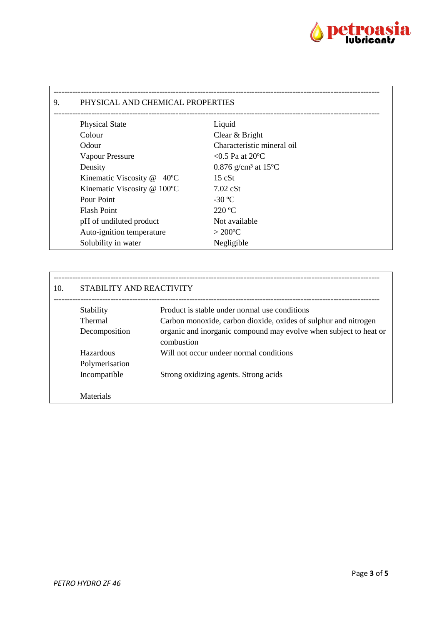

| PHYSICAL AND CHEMICAL PROPERTIES          |                                              |  |
|-------------------------------------------|----------------------------------------------|--|
| <b>Physical State</b>                     | Liquid                                       |  |
| Colour                                    | Clear & Bright                               |  |
| Odour                                     | Characteristic mineral oil                   |  |
| <b>Vapour Pressure</b>                    | $< 0.5$ Pa at 20 °C                          |  |
| Density                                   | 0.876 g/cm <sup>3</sup> at 15 <sup>o</sup> C |  |
| Kinematic Viscosity $@$ 40 <sup>o</sup> C | $15 \text{ cSt}$                             |  |
| Kinematic Viscosity @ 100°C               | $7.02$ cSt                                   |  |
| Pour Point                                | $-30$ °C                                     |  |
| <b>Flash Point</b>                        | $220 \text{ °C}$                             |  |
| pH of undiluted product                   | Not available                                |  |
| Auto-ignition temperature                 | $>200^{\circ}$ C                             |  |
| Solubility in water                       | Negligible                                   |  |

| 10. | STABILITY AND REACTIVITY |                                                                                 |
|-----|--------------------------|---------------------------------------------------------------------------------|
|     | Stability                | Product is stable under normal use conditions                                   |
|     | <b>Thermal</b>           | Carbon monoxide, carbon dioxide, oxides of sulphur and nitrogen                 |
|     | Decomposition            | organic and inorganic compound may evolve when subject to heat or<br>combustion |
|     | Hazardous                | Will not occur undeer normal conditions                                         |
|     | Polymerisation           |                                                                                 |
|     | Incompatible             | Strong oxidizing agents. Strong acids                                           |
|     | Materials                |                                                                                 |

 $\mathbf{r}$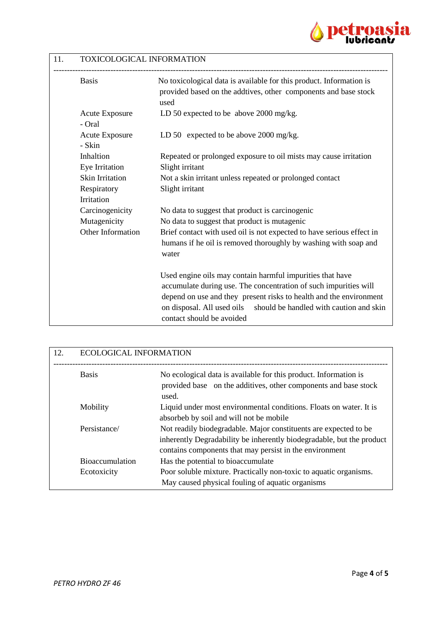

# 11. TOXICOLOGICAL INFORMATION

| <b>Basis</b>                    | No toxicological data is available for this product. Information is<br>provided based on the addtives, other components and base stock<br>used |
|---------------------------------|------------------------------------------------------------------------------------------------------------------------------------------------|
| <b>Acute Exposure</b><br>- Oral | LD 50 expected to be above 2000 mg/kg.                                                                                                         |
| <b>Acute Exposure</b><br>- Skin | LD 50 expected to be above 2000 mg/kg.                                                                                                         |
| Inhaltion                       | Repeated or prolonged exposure to oil mists may cause irritation                                                                               |
| Eye Irritation                  | Slight irritant                                                                                                                                |
| <b>Skin Irritation</b>          | Not a skin irritant unless repeated or prolonged contact                                                                                       |
| Respiratory                     | Slight irritant                                                                                                                                |
| Irritation                      |                                                                                                                                                |
| Carcinogenicity                 | No data to suggest that product is carcinogenic                                                                                                |
| Mutagenicity                    | No data to suggest that product is mutagenic                                                                                                   |
| Other Information               | Brief contact with used oil is not expected to have serious effect in                                                                          |
|                                 | humans if he oil is removed thoroughly by washing with soap and<br>water                                                                       |
|                                 | Used engine oils may contain harmful impurities that have                                                                                      |
|                                 | accumulate during use. The concentration of such impurities will                                                                               |
|                                 | depend on use and they present risks to health and the environment                                                                             |
|                                 | on disposal. All used oils<br>should be handled with caution and skin<br>contact should be avoided                                             |

| 12. | <b>ECOLOGICAL INFORMATION</b>         |                                                                                                                                                                                                      |
|-----|---------------------------------------|------------------------------------------------------------------------------------------------------------------------------------------------------------------------------------------------------|
|     | <b>Basis</b>                          | No ecological data is available for this product. Information is<br>provided base on the additives, other components and base stock<br>used.                                                         |
|     | Mobility                              | Liquid under most environmental conditions. Floats on water. It is<br>absorbeb by soil and will not be mobile                                                                                        |
|     | Persistance/                          | Not readily biodegradable. Major constituents are expected to be<br>inherently Degradability be inherently biodegradable, but the product<br>contains components that may persist in the environment |
|     | <b>Bioaccumulation</b><br>Ecotoxicity | Has the potential to bioaccumulate<br>Poor soluble mixture. Practically non-toxic to aquatic organisms.<br>May caused physical fouling of aquatic organisms                                          |